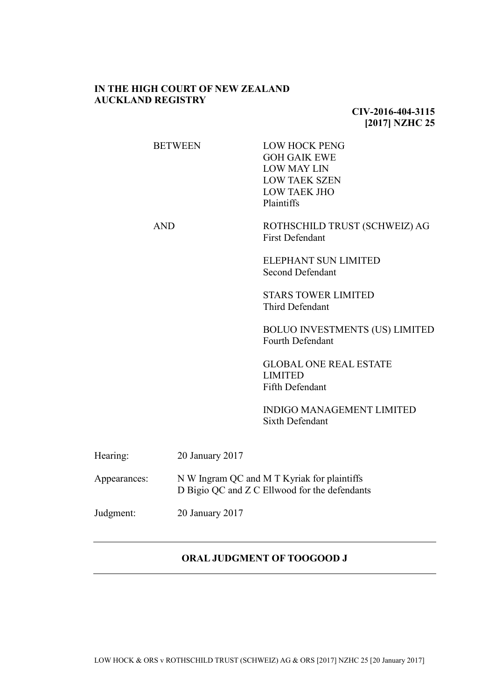# **IN THE HIGH COURT OF NEW ZEALAND AUCKLAND REGISTRY**

# **CIV-2016-404-3115 [2017] NZHC 25**

|              | <b>BETWEEN</b>  | <b>LOW HOCK PENG</b><br><b>GOH GAIK EWE</b><br><b>LOW MAY LIN</b><br><b>LOW TAEK SZEN</b><br><b>LOW TAEK JHO</b><br>Plaintiffs |
|--------------|-----------------|--------------------------------------------------------------------------------------------------------------------------------|
|              | <b>AND</b>      | ROTHSCHILD TRUST (SCHWEIZ) AG<br><b>First Defendant</b>                                                                        |
|              |                 | <b>ELEPHANT SUN LIMITED</b><br><b>Second Defendant</b>                                                                         |
|              |                 | <b>STARS TOWER LIMITED</b><br><b>Third Defendant</b>                                                                           |
|              |                 | <b>BOLUO INVESTMENTS (US) LIMITED</b><br>Fourth Defendant                                                                      |
|              |                 | <b>GLOBAL ONE REAL ESTATE</b><br><b>LIMITED</b><br><b>Fifth Defendant</b>                                                      |
|              |                 | <b>INDIGO MANAGEMENT LIMITED</b><br><b>Sixth Defendant</b>                                                                     |
| Hearing:     | 20 January 2017 |                                                                                                                                |
| Appearances: |                 | N W Ingram QC and M T Kyriak for plaintiffs<br>D Bigio QC and Z C Ellwood for the defendants                                   |
| Judgment:    | 20 January 2017 |                                                                                                                                |
|              |                 |                                                                                                                                |

## **ORAL JUDGMENT OF TOOGOOD J**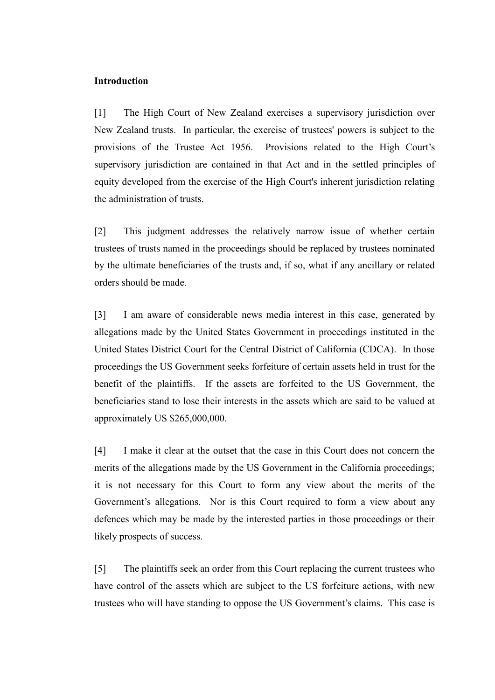## **Introduction**

[1] The High Court of New Zealand exercises a supervisory jurisdiction over New Zealand trusts. In particular, the exercise of trustees' powers is subject to the provisions of the Trustee Act 1956. Provisions related to the High Court's supervisory jurisdiction are contained in that Act and in the settled principles of equity developed from the exercise of the High Court's inherent jurisdiction relating the administration of trusts.

[2] This judgment addresses the relatively narrow issue of whether certain trustees of trusts named in the proceedings should be replaced by trustees nominated by the ultimate beneficiaries of the trusts and, if so, what if any ancillary or related orders should be made.

[3] I am aware of considerable news media interest in this case, generated by allegations made by the United States Government in proceedings instituted in the United States District Court for the Central District of California (CDCA). In those proceedings the US Government seeks forfeiture of certain assets held in trust for the benefit of the plaintiffs. If the assets are forfeited to the US Government, the beneficiaries stand to lose their interests in the assets which are said to be valued at approximately US \$265,000,000.

[4] I make it clear at the outset that the case in this Court does not concern the merits of the allegations made by the US Government in the California proceedings; it is not necessary for this Court to form any view about the merits of the Government's allegations. Nor is this Court required to form a view about any defences which may be made by the interested parties in those proceedings or their likely prospects of success.

[5] The plaintiffs seek an order from this Court replacing the current trustees who have control of the assets which are subject to the US forfeiture actions, with new trustees who will have standing to oppose the US Government's claims. This case is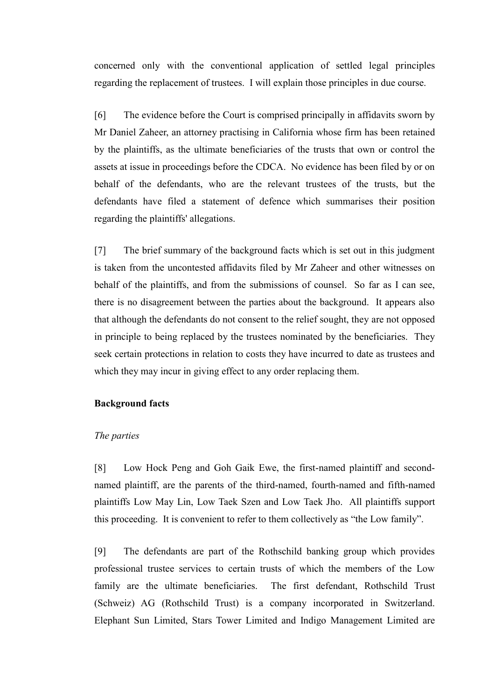concerned only with the conventional application of settled legal principles regarding the replacement of trustees. I will explain those principles in due course.

[6] The evidence before the Court is comprised principally in affidavits sworn by Mr Daniel Zaheer, an attorney practising in California whose firm has been retained by the plaintiffs, as the ultimate beneficiaries of the trusts that own or control the assets at issue in proceedings before the CDCA. No evidence has been filed by or on behalf of the defendants, who are the relevant trustees of the trusts, but the defendants have filed a statement of defence which summarises their position regarding the plaintiffs' allegations.

[7] The brief summary of the background facts which is set out in this judgment is taken from the uncontested affidavits filed by Mr Zaheer and other witnesses on behalf of the plaintiffs, and from the submissions of counsel. So far as I can see, there is no disagreement between the parties about the background. It appears also that although the defendants do not consent to the relief sought, they are not opposed in principle to being replaced by the trustees nominated by the beneficiaries. They seek certain protections in relation to costs they have incurred to date as trustees and which they may incur in giving effect to any order replacing them.

#### **Background facts**

### *The parties*

[8] Low Hock Peng and Goh Gaik Ewe, the first-named plaintiff and secondnamed plaintiff, are the parents of the third-named, fourth-named and fifth-named plaintiffs Low May Lin, Low Taek Szen and Low Taek Jho. All plaintiffs support this proceeding. It is convenient to refer to them collectively as "the Low family".

[9] The defendants are part of the Rothschild banking group which provides professional trustee services to certain trusts of which the members of the Low family are the ultimate beneficiaries. The first defendant, Rothschild Trust (Schweiz) AG (Rothschild Trust) is a company incorporated in Switzerland. Elephant Sun Limited, Stars Tower Limited and Indigo Management Limited are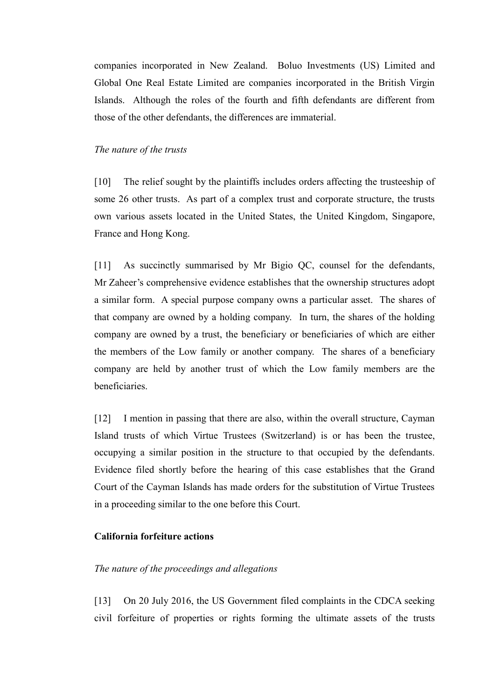companies incorporated in New Zealand. Boluo Investments (US) Limited and Global One Real Estate Limited are companies incorporated in the British Virgin Islands. Although the roles of the fourth and fifth defendants are different from those of the other defendants, the differences are immaterial.

## *The nature of the trusts*

[10] The relief sought by the plaintiffs includes orders affecting the trusteeship of some 26 other trusts. As part of a complex trust and corporate structure, the trusts own various assets located in the United States, the United Kingdom, Singapore, France and Hong Kong.

[11] As succinctly summarised by Mr Bigio QC, counsel for the defendants, Mr Zaheer's comprehensive evidence establishes that the ownership structures adopt a similar form. A special purpose company owns a particular asset. The shares of that company are owned by a holding company. In turn, the shares of the holding company are owned by a trust, the beneficiary or beneficiaries of which are either the members of the Low family or another company. The shares of a beneficiary company are held by another trust of which the Low family members are the beneficiaries.

[12] I mention in passing that there are also, within the overall structure, Cayman Island trusts of which Virtue Trustees (Switzerland) is or has been the trustee, occupying a similar position in the structure to that occupied by the defendants. Evidence filed shortly before the hearing of this case establishes that the Grand Court of the Cayman Islands has made orders for the substitution of Virtue Trustees in a proceeding similar to the one before this Court.

## **California forfeiture actions**

### *The nature of the proceedings and allegations*

[13] On 20 July 2016, the US Government filed complaints in the CDCA seeking civil forfeiture of properties or rights forming the ultimate assets of the trusts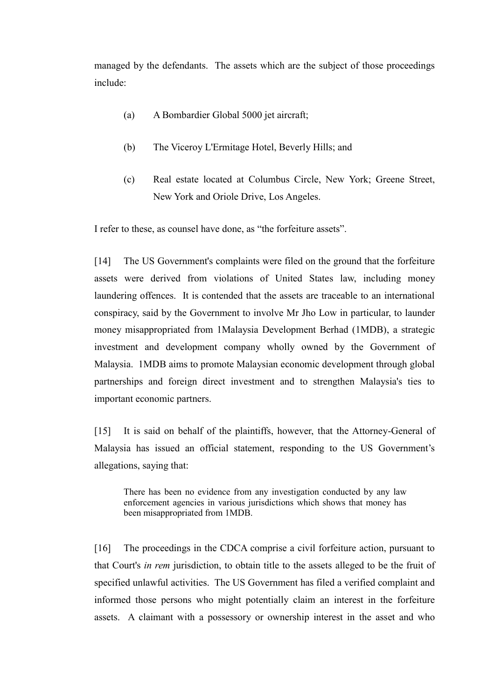managed by the defendants. The assets which are the subject of those proceedings include:

- (a) A Bombardier Global 5000 jet aircraft;
- (b) The Viceroy L'Ermitage Hotel, Beverly Hills; and
- (c) Real estate located at Columbus Circle, New York; Greene Street, New York and Oriole Drive, Los Angeles.

I refer to these, as counsel have done, as "the forfeiture assets".

[14] The US Government's complaints were filed on the ground that the forfeiture assets were derived from violations of United States law, including money laundering offences. It is contended that the assets are traceable to an international conspiracy, said by the Government to involve Mr Jho Low in particular, to launder money misappropriated from 1Malaysia Development Berhad (1MDB), a strategic investment and development company wholly owned by the Government of Malaysia. 1MDB aims to promote Malaysian economic development through global partnerships and foreign direct investment and to strengthen Malaysia's ties to important economic partners.

[15] It is said on behalf of the plaintiffs, however, that the Attorney-General of Malaysia has issued an official statement, responding to the US Government's allegations, saying that:

There has been no evidence from any investigation conducted by any law enforcement agencies in various jurisdictions which shows that money has been misappropriated from 1MDB.

[16] The proceedings in the CDCA comprise a civil forfeiture action, pursuant to that Court's *in rem* jurisdiction, to obtain title to the assets alleged to be the fruit of specified unlawful activities. The US Government has filed a verified complaint and informed those persons who might potentially claim an interest in the forfeiture assets. A claimant with a possessory or ownership interest in the asset and who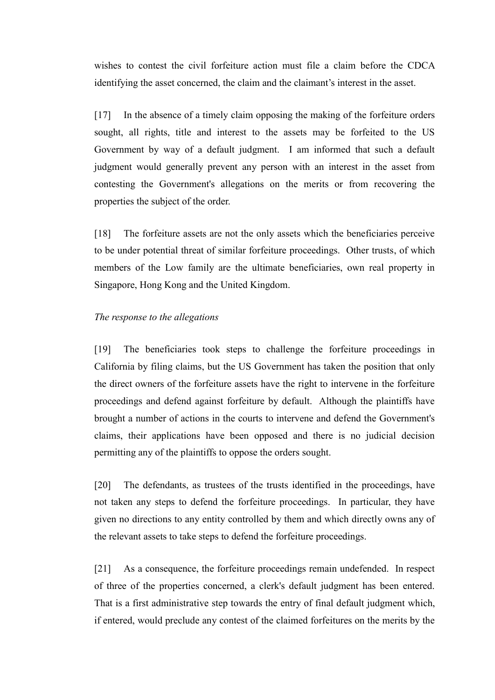wishes to contest the civil forfeiture action must file a claim before the CDCA identifying the asset concerned, the claim and the claimant's interest in the asset.

[17] In the absence of a timely claim opposing the making of the forfeiture orders sought, all rights, title and interest to the assets may be forfeited to the US Government by way of a default judgment. I am informed that such a default judgment would generally prevent any person with an interest in the asset from contesting the Government's allegations on the merits or from recovering the properties the subject of the order.

[18] The forfeiture assets are not the only assets which the beneficiaries perceive to be under potential threat of similar forfeiture proceedings. Other trusts, of which members of the Low family are the ultimate beneficiaries, own real property in Singapore, Hong Kong and the United Kingdom.

### *The response to the allegations*

[19] The beneficiaries took steps to challenge the forfeiture proceedings in California by filing claims, but the US Government has taken the position that only the direct owners of the forfeiture assets have the right to intervene in the forfeiture proceedings and defend against forfeiture by default. Although the plaintiffs have brought a number of actions in the courts to intervene and defend the Government's claims, their applications have been opposed and there is no judicial decision permitting any of the plaintiffs to oppose the orders sought.

[20] The defendants, as trustees of the trusts identified in the proceedings, have not taken any steps to defend the forfeiture proceedings. In particular, they have given no directions to any entity controlled by them and which directly owns any of the relevant assets to take steps to defend the forfeiture proceedings.

[21] As a consequence, the forfeiture proceedings remain undefended. In respect of three of the properties concerned, a clerk's default judgment has been entered. That is a first administrative step towards the entry of final default judgment which, if entered, would preclude any contest of the claimed forfeitures on the merits by the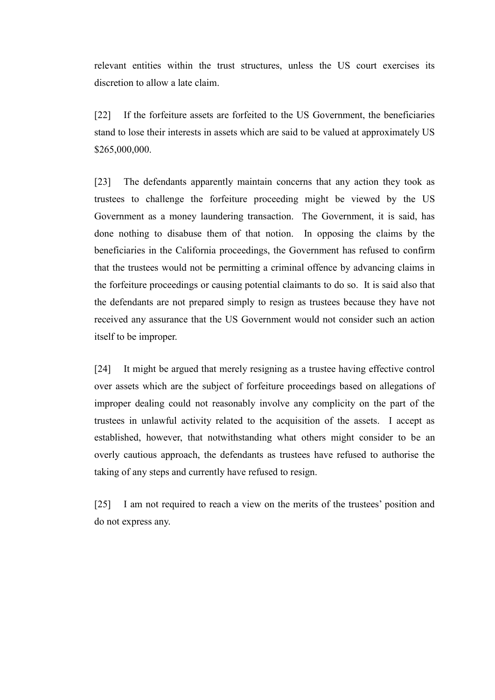relevant entities within the trust structures, unless the US court exercises its discretion to allow a late claim.

[22] If the forfeiture assets are forfeited to the US Government, the beneficiaries stand to lose their interests in assets which are said to be valued at approximately US \$265,000,000.

[23] The defendants apparently maintain concerns that any action they took as trustees to challenge the forfeiture proceeding might be viewed by the US Government as a money laundering transaction. The Government, it is said, has done nothing to disabuse them of that notion. In opposing the claims by the beneficiaries in the California proceedings, the Government has refused to confirm that the trustees would not be permitting a criminal offence by advancing claims in the forfeiture proceedings or causing potential claimants to do so. It is said also that the defendants are not prepared simply to resign as trustees because they have not received any assurance that the US Government would not consider such an action itself to be improper.

[24] It might be argued that merely resigning as a trustee having effective control over assets which are the subject of forfeiture proceedings based on allegations of improper dealing could not reasonably involve any complicity on the part of the trustees in unlawful activity related to the acquisition of the assets. I accept as established, however, that notwithstanding what others might consider to be an overly cautious approach, the defendants as trustees have refused to authorise the taking of any steps and currently have refused to resign.

[25] I am not required to reach a view on the merits of the trustees' position and do not express any.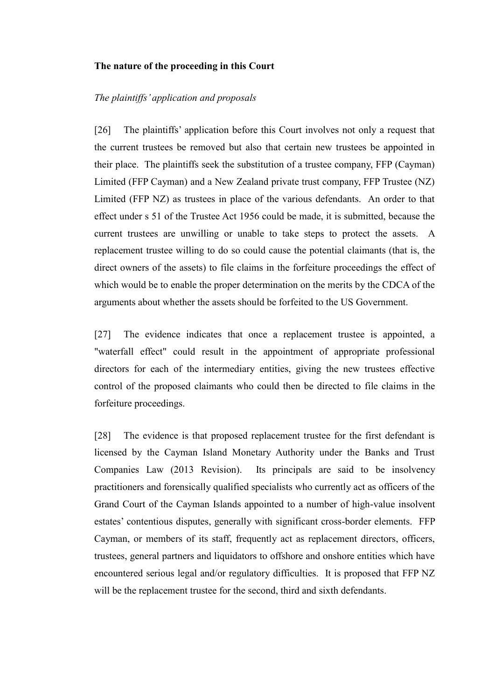#### **The nature of the proceeding in this Court**

#### *The plaintiffs' application and proposals*

[26] The plaintiffs' application before this Court involves not only a request that the current trustees be removed but also that certain new trustees be appointed in their place. The plaintiffs seek the substitution of a trustee company, FFP (Cayman) Limited (FFP Cayman) and a New Zealand private trust company, FFP Trustee (NZ) Limited (FFP NZ) as trustees in place of the various defendants. An order to that effect under s 51 of the Trustee Act 1956 could be made, it is submitted, because the current trustees are unwilling or unable to take steps to protect the assets. A replacement trustee willing to do so could cause the potential claimants (that is, the direct owners of the assets) to file claims in the forfeiture proceedings the effect of which would be to enable the proper determination on the merits by the CDCA of the arguments about whether the assets should be forfeited to the US Government.

[27] The evidence indicates that once a replacement trustee is appointed, a "waterfall effect" could result in the appointment of appropriate professional directors for each of the intermediary entities, giving the new trustees effective control of the proposed claimants who could then be directed to file claims in the forfeiture proceedings.

[28] The evidence is that proposed replacement trustee for the first defendant is licensed by the Cayman Island Monetary Authority under the Banks and Trust Companies Law (2013 Revision). Its principals are said to be insolvency practitioners and forensically qualified specialists who currently act as officers of the Grand Court of the Cayman Islands appointed to a number of high-value insolvent estates' contentious disputes, generally with significant cross-border elements. FFP Cayman, or members of its staff, frequently act as replacement directors, officers, trustees, general partners and liquidators to offshore and onshore entities which have encountered serious legal and/or regulatory difficulties. It is proposed that FFP NZ will be the replacement trustee for the second, third and sixth defendants.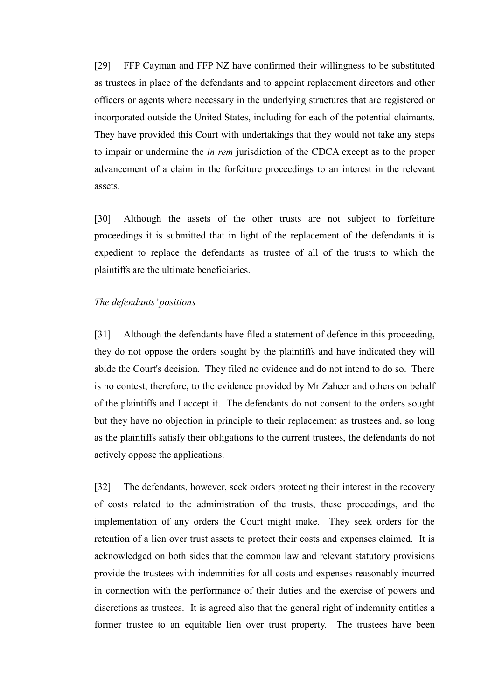[29] FFP Cayman and FFP NZ have confirmed their willingness to be substituted as trustees in place of the defendants and to appoint replacement directors and other officers or agents where necessary in the underlying structures that are registered or incorporated outside the United States, including for each of the potential claimants. They have provided this Court with undertakings that they would not take any steps to impair or undermine the *in rem* jurisdiction of the CDCA except as to the proper advancement of a claim in the forfeiture proceedings to an interest in the relevant assets.

[30] Although the assets of the other trusts are not subject to forfeiture proceedings it is submitted that in light of the replacement of the defendants it is expedient to replace the defendants as trustee of all of the trusts to which the plaintiffs are the ultimate beneficiaries.

### *The defendants' positions*

[31] Although the defendants have filed a statement of defence in this proceeding, they do not oppose the orders sought by the plaintiffs and have indicated they will abide the Court's decision. They filed no evidence and do not intend to do so. There is no contest, therefore, to the evidence provided by Mr Zaheer and others on behalf of the plaintiffs and I accept it. The defendants do not consent to the orders sought but they have no objection in principle to their replacement as trustees and, so long as the plaintiffs satisfy their obligations to the current trustees, the defendants do not actively oppose the applications.

[32] The defendants, however, seek orders protecting their interest in the recovery of costs related to the administration of the trusts, these proceedings, and the implementation of any orders the Court might make. They seek orders for the retention of a lien over trust assets to protect their costs and expenses claimed. It is acknowledged on both sides that the common law and relevant statutory provisions provide the trustees with indemnities for all costs and expenses reasonably incurred in connection with the performance of their duties and the exercise of powers and discretions as trustees. It is agreed also that the general right of indemnity entitles a former trustee to an equitable lien over trust property. The trustees have been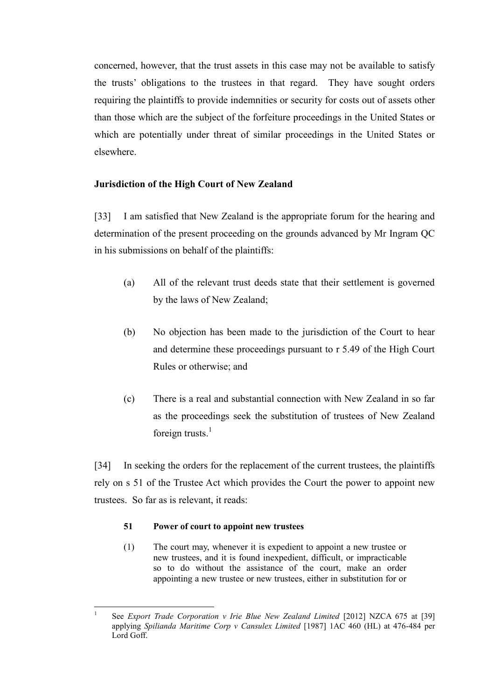concerned, however, that the trust assets in this case may not be available to satisfy the trusts' obligations to the trustees in that regard. They have sought orders requiring the plaintiffs to provide indemnities or security for costs out of assets other than those which are the subject of the forfeiture proceedings in the United States or which are potentially under threat of similar proceedings in the United States or elsewhere.

# **Jurisdiction of the High Court of New Zealand**

[33] I am satisfied that New Zealand is the appropriate forum for the hearing and determination of the present proceeding on the grounds advanced by Mr Ingram QC in his submissions on behalf of the plaintiffs:

- (a) All of the relevant trust deeds state that their settlement is governed by the laws of New Zealand;
- (b) No objection has been made to the jurisdiction of the Court to hear and determine these proceedings pursuant to r 5.49 of the High Court Rules or otherwise; and
- (c) There is a real and substantial connection with New Zealand in so far as the proceedings seek the substitution of trustees of New Zealand foreign trusts. $<sup>1</sup>$ </sup>

[34] In seeking the orders for the replacement of the current trustees, the plaintiffs rely on s 51 of the Trustee Act which provides the Court the power to appoint new trustees. So far as is relevant, it reads:

## **51 Power of court to appoint new trustees**

(1) The court may, whenever it is expedient to appoint a new trustee or new trustees, and it is found inexpedient, difficult, or impracticable so to do without the assistance of the court, make an order appointing a new trustee or new trustees, either in substitution for or

 $\overline{a}$ 1 See *Export Trade Corporation v Irie Blue New Zealand Limited* [2012] NZCA 675 at [39] applying *Spilianda Maritime Corp v Cansulex Limited* [1987] 1AC 460 (HL) at 476-484 per Lord Goff.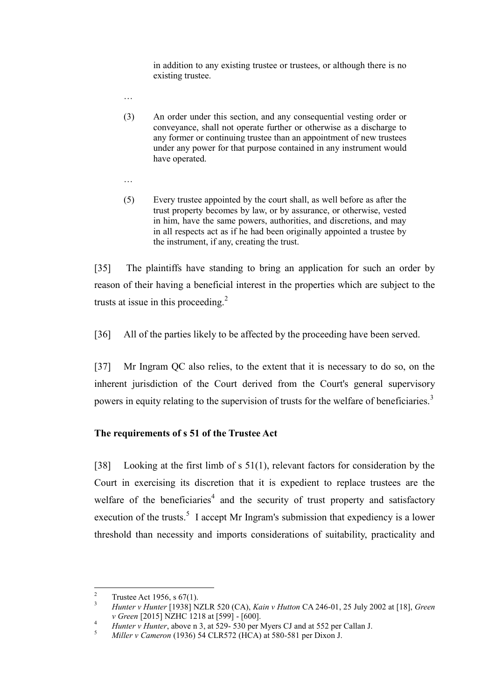in addition to any existing trustee or trustees, or although there is no existing trustee.

- (3) An order under this section, and any consequential vesting order or conveyance, shall not operate further or otherwise as a discharge to any former or continuing trustee than an appointment of new trustees under any power for that purpose contained in any instrument would have operated.
- …

…

(5) Every trustee appointed by the court shall, as well before as after the trust property becomes by law, or by assurance, or otherwise, vested in him, have the same powers, authorities, and discretions, and may in all respects act as if he had been originally appointed a trustee by the instrument, if any, creating the trust.

[35] The plaintiffs have standing to bring an application for such an order by reason of their having a beneficial interest in the properties which are subject to the trusts at issue in this proceeding. $^{2}$ 

[36] All of the parties likely to be affected by the proceeding have been served.

[37] Mr Ingram QC also relies, to the extent that it is necessary to do so, on the inherent jurisdiction of the Court derived from the Court's general supervisory powers in equity relating to the supervision of trusts for the welfare of beneficiaries.<sup>3</sup>

# **The requirements of s 51 of the Trustee Act**

[38] Looking at the first limb of s 51(1), relevant factors for consideration by the Court in exercising its discretion that it is expedient to replace trustees are the welfare of the beneficiaries<sup>4</sup> and the security of trust property and satisfactory execution of the trusts.<sup>5</sup> I accept Mr Ingram's submission that expediency is a lower threshold than necessity and imports considerations of suitability, practicality and

 $\overline{2}$ Trustee Act 1956, s 67(1).

<sup>3</sup> *Hunter v Hunter* [1938] NZLR 520 (CA), *Kain v Hutton* CA 246-01, 25 July 2002 at [18], *Green v Green* [2015] NZHC 1218 at [599] - [600].

<sup>4</sup> *Hunter v Hunter*, above n 3, at 529- 530 per Myers CJ and at 552 per Callan J.

<sup>5</sup> *Miller v Cameron* (1936) 54 CLR572 (HCA) at 580-581 per Dixon J.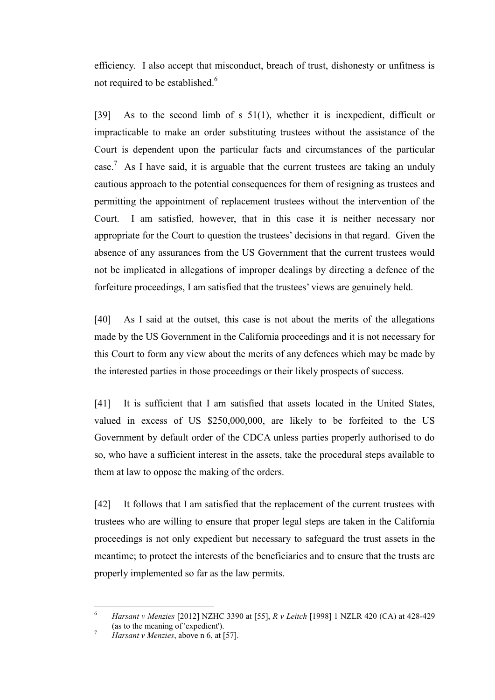efficiency. I also accept that misconduct, breach of trust, dishonesty or unfitness is not required to be established.<sup>6</sup>

[39] As to the second limb of s 51(1), whether it is inexpedient, difficult or impracticable to make an order substituting trustees without the assistance of the Court is dependent upon the particular facts and circumstances of the particular case.<sup>7</sup> As I have said, it is arguable that the current trustees are taking an unduly cautious approach to the potential consequences for them of resigning as trustees and permitting the appointment of replacement trustees without the intervention of the Court. I am satisfied, however, that in this case it is neither necessary nor appropriate for the Court to question the trustees' decisions in that regard. Given the absence of any assurances from the US Government that the current trustees would not be implicated in allegations of improper dealings by directing a defence of the forfeiture proceedings, I am satisfied that the trustees' views are genuinely held.

[40] As I said at the outset, this case is not about the merits of the allegations made by the US Government in the California proceedings and it is not necessary for this Court to form any view about the merits of any defences which may be made by the interested parties in those proceedings or their likely prospects of success.

[41] It is sufficient that I am satisfied that assets located in the United States, valued in excess of US \$250,000,000, are likely to be forfeited to the US Government by default order of the CDCA unless parties properly authorised to do so, who have a sufficient interest in the assets, take the procedural steps available to them at law to oppose the making of the orders.

[42] It follows that I am satisfied that the replacement of the current trustees with trustees who are willing to ensure that proper legal steps are taken in the California proceedings is not only expedient but necessary to safeguard the trust assets in the meantime; to protect the interests of the beneficiaries and to ensure that the trusts are properly implemented so far as the law permits.

 $\overline{a}$ 

<sup>6</sup> *Harsant v Menzies* [2012] NZHC 3390 at [55], *R v Leitch* [1998] 1 NZLR 420 (CA) at 428-429 (as to the meaning of 'expedient').

<sup>7</sup> *Harsant v Menzies*, above n 6, at [57].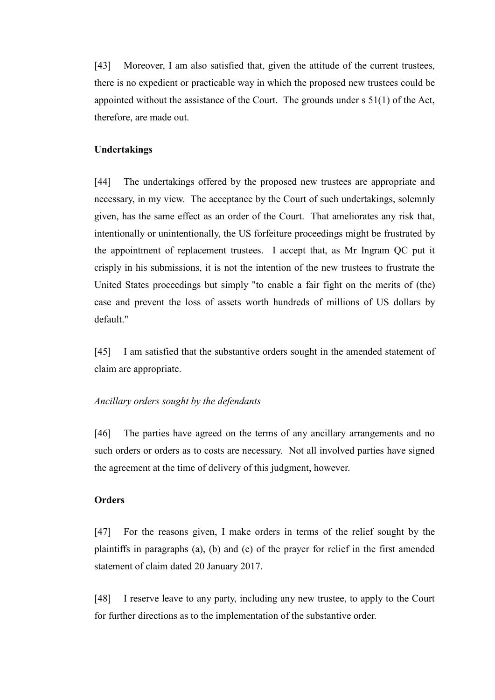[43] Moreover, I am also satisfied that, given the attitude of the current trustees, there is no expedient or practicable way in which the proposed new trustees could be appointed without the assistance of the Court. The grounds under s 51(1) of the Act, therefore, are made out.

## **Undertakings**

[44] The undertakings offered by the proposed new trustees are appropriate and necessary, in my view. The acceptance by the Court of such undertakings, solemnly given, has the same effect as an order of the Court. That ameliorates any risk that, intentionally or unintentionally, the US forfeiture proceedings might be frustrated by the appointment of replacement trustees. I accept that, as Mr Ingram QC put it crisply in his submissions, it is not the intention of the new trustees to frustrate the United States proceedings but simply "to enable a fair fight on the merits of (the) case and prevent the loss of assets worth hundreds of millions of US dollars by default."

[45] I am satisfied that the substantive orders sought in the amended statement of claim are appropriate.

## *Ancillary orders sought by the defendants*

[46] The parties have agreed on the terms of any ancillary arrangements and no such orders or orders as to costs are necessary. Not all involved parties have signed the agreement at the time of delivery of this judgment, however.

## **Orders**

[47] For the reasons given, I make orders in terms of the relief sought by the plaintiffs in paragraphs (a), (b) and (c) of the prayer for relief in the first amended statement of claim dated 20 January 2017.

[48] I reserve leave to any party, including any new trustee, to apply to the Court for further directions as to the implementation of the substantive order.